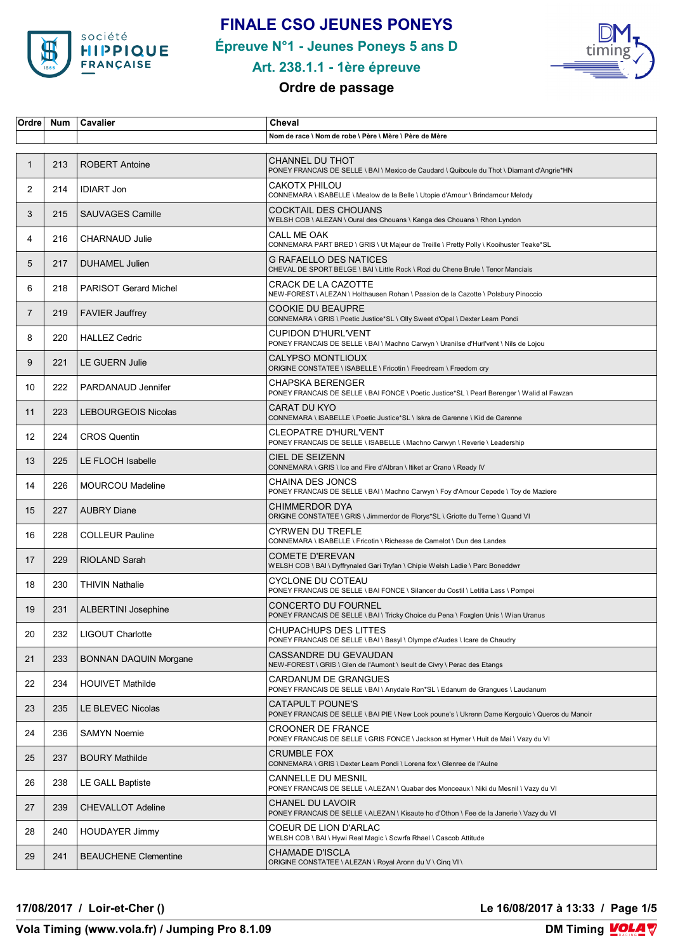

### **FINALE CSO JEUNES PONEYS**

**Épreuve N°1 - Jeunes Poneys 5 ans D**



### **Art. 238.1.1 - 1ère épreuve**

### **Ordre de passage**

| Ordre          | Num | Cavalier                     | Cheval                                                                                                                    |
|----------------|-----|------------------------------|---------------------------------------------------------------------------------------------------------------------------|
|                |     |                              | Nom de race \ Nom de robe \ Père \ Mère \ Père de Mère                                                                    |
| $\mathbf{1}$   | 213 | <b>ROBERT Antoine</b>        | <b>CHANNEL DU THOT</b><br>PONEY FRANCAIS DE SELLE \ BAI \ Mexico de Caudard \ Quiboule du Thot \ Diamant d'Angrie*HN      |
| 2              | 214 | <b>IDIART Jon</b>            | <b>CAKOTX PHILOU</b><br>CONNEMARA \ ISABELLE \ Mealow de la Belle \ Utopie d'Amour \ Brindamour Melody                    |
| 3              | 215 | <b>SAUVAGES Camille</b>      | <b>COCKTAIL DES CHOUANS</b><br>WELSH COB \ ALEZAN \ Oural des Chouans \ Kanga des Chouans \ Rhon Lyndon                   |
| 4              | 216 | <b>CHARNAUD Julie</b>        | CALL ME OAK<br>CONNEMARA PART BRED \ GRIS \ Ut Majeur de Treille \ Pretty Polly \ Kooihuster Teake*SL                     |
| 5              | 217 | <b>DUHAMEL Julien</b>        | G RAFAELLO DES NATICES<br>CHEVAL DE SPORT BELGE \ BAI \ Little Rock \ Rozi du Chene Brule \ Tenor Manciais                |
| 6              | 218 | <b>PARISOT Gerard Michel</b> | <b>CRACK DE LA CAZOTTE</b><br>NEW-FOREST \ ALEZAN \ Holthausen Rohan \ Passion de la Cazotte \ Polsbury Pinoccio          |
| $\overline{7}$ | 219 | <b>FAVIER Jauffrey</b>       | <b>COOKIE DU BEAUPRE</b><br>CONNEMARA \ GRIS \ Poetic Justice*SL \ Olly Sweet d'Opal \ Dexter Leam Pondi                  |
| 8              | 220 | <b>HALLEZ Cedric</b>         | <b>CUPIDON D'HURL'VENT</b><br>PONEY FRANCAIS DE SELLE \ BAI \ Machno Carwyn \ Uranilse d'Hurl'vent \ Nils de Lojou        |
| 9              | 221 | <b>LE GUERN Julie</b>        | CALYPSO MONTLIOUX<br>ORIGINE CONSTATEE \ ISABELLE \ Fricotin \ Freedream \ Freedom cry                                    |
| 10             | 222 | PARDANAUD Jennifer           | <b>CHAPSKA BERENGER</b><br>PONEY FRANCAIS DE SELLE \ BAI FONCE \ Poetic Justice*SL \ Pearl Berenger \ Walid al Fawzan     |
| 11             | 223 | <b>LEBOURGEOIS Nicolas</b>   | CARAT DU KYO<br>CONNEMARA \ ISABELLE \ Poetic Justice*SL \ Iskra de Garenne \ Kid de Garenne                              |
| 12             | 224 | <b>CROS Quentin</b>          | <b>CLEOPATRE D'HURL'VENT</b><br>PONEY FRANCAIS DE SELLE \ ISABELLE \ Machno Carwyn \ Reverie \ Leadership                 |
| 13             | 225 | LE FLOCH Isabelle            | CIEL DE SEIZENN<br>CONNEMARA \ GRIS \ Ice and Fire d'Albran \ Itiket ar Crano \ Ready IV                                  |
| 14             | 226 | <b>MOURCOU Madeline</b>      | CHAINA DES JONCS<br>PONEY FRANCAIS DE SELLE \ BAI \ Machno Carwyn \ Foy d'Amour Cepede \ Toy de Maziere                   |
| 15             | 227 | <b>AUBRY Diane</b>           | <b>CHIMMERDOR DYA</b><br>ORIGINE CONSTATEE \ GRIS \ Jimmerdor de Florys*SL \ Griotte du Terne \ Quand VI                  |
| 16             | 228 | <b>COLLEUR Pauline</b>       | <b>CYRWEN DU TREFLE</b><br>CONNEMARA \ ISABELLE \ Fricotin \ Richesse de Camelot \ Dun des Landes                         |
| 17             | 229 | RIOLAND Sarah                | <b>COMETE D'EREVAN</b><br>WELSH COB \ BAI \ Dyffrynaled Gari Tryfan \ Chipie Welsh Ladie \ Parc Boneddwr                  |
| 18             | 230 | <b>THIVIN Nathalie</b>       | CYCLONE DU COTEAU<br>PONEY FRANCAIS DE SELLE \ BAI FONCE \ Silancer du Costil \ Letitia Lass \ Pompei                     |
| 19             | 231 | <b>ALBERTINI Josephine</b>   | CONCERTO DU FOURNEL<br>PONEY FRANCAIS DE SELLE \ BAI \ Tricky Choice du Pena \ Foxglen Unis \ Wian Uranus                 |
| 20             | 232 | LIGOUT Charlotte             | <b>CHUPACHUPS DES LITTES</b><br>PONEY FRANCAIS DE SELLE \ BAI \ Basyl \ Olympe d'Audes \ Icare de Chaudry                 |
| 21             | 233 | <b>BONNAN DAQUIN Morgane</b> | CASSANDRE DU GEVAUDAN<br>NEW-FOREST \ GRIS \ Glen de l'Aumont \ Iseult de Civry \ Perac des Etangs                        |
| 22             | 234 | <b>HOUIVET Mathilde</b>      | CARDANUM DE GRANGUES<br>PONEY FRANCAIS DE SELLE \ BAI \ Anydale Ron*SL \ Edanum de Grangues \ Laudanum                    |
| 23             | 235 | LE BLEVEC Nicolas            | <b>CATAPULT POUNE'S</b><br>PONEY FRANCAIS DE SELLE \ BAI PIE \ New Look poune's \ Ukrenn Dame Kergouic \ Queros du Manoir |
| 24             | 236 | <b>SAMYN Noemie</b>          | <b>CROONER DE FRANCE</b><br>PONEY FRANCAIS DE SELLE \ GRIS FONCE \ Jackson st Hymer \ Huit de Mai \ Vazy du VI            |
| 25             | 237 | <b>BOURY Mathilde</b>        | <b>CRUMBLE FOX</b><br>CONNEMARA \ GRIS \ Dexter Leam Pondi \ Lorena fox \ Glenree de l'Aulne                              |
| 26             | 238 | LE GALL Baptiste             | CANNELLE DU MESNIL<br>PONEY FRANCAIS DE SELLE \ ALEZAN \ Quabar des Monceaux \ Niki du Mesnil \ Vazy du VI                |
| 27             | 239 | <b>CHEVALLOT Adeline</b>     | CHANEL DU LAVOIR<br>PONEY FRANCAIS DE SELLE \ ALEZAN \ Kisaute ho d'Othon \ Fee de la Janerie \ Vazy du VI                |
| 28             | 240 | <b>HOUDAYER Jimmy</b>        | COEUR DE LION D'ARLAC<br>WELSH COB \ BAI \ Hywi Real Magic \ Scwrfa Rhael \ Cascob Attitude                               |
| 29             | 241 | <b>BEAUCHENE Clementine</b>  | <b>CHAMADE D'ISCLA</b><br>ORIGINE CONSTATEE \ ALEZAN \ Royal Aronn du V \ Cinq VI \                                       |

**17/08/2017 / Loir-et-Cher () Le 16/08/2017 à 13:33 / Page 1/5**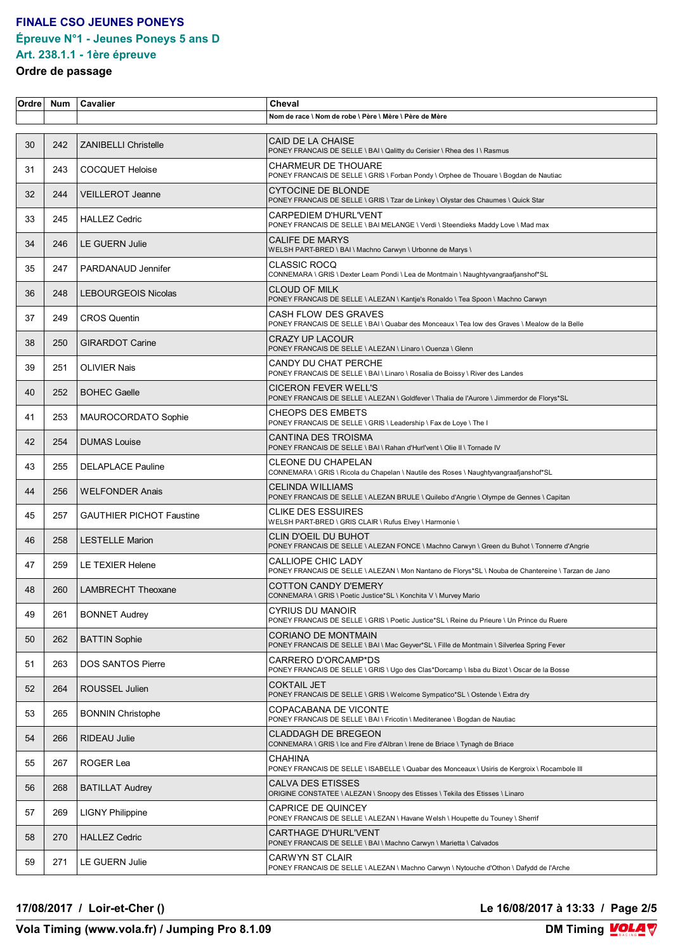### **FINALE CSO JEUNES PONEYS Épreuve N°1 - Jeunes Poneys 5 ans D Art. 238.1.1 - 1ère épreuve**

# **Ordre de passage**

| Ordre | <b>Num</b> | Cavalier                        | Cheval                                                                                                                           |
|-------|------------|---------------------------------|----------------------------------------------------------------------------------------------------------------------------------|
|       |            |                                 | Nom de race \ Nom de robe \ Père \ Mère \ Père de Mère                                                                           |
| 30    | 242        | <b>ZANIBELLI Christelle</b>     | CAID DE LA CHAISE<br>PONEY FRANCAIS DE SELLE \ BAI \ Qalitty du Cerisier \ Rhea des I \ Rasmus                                   |
| 31    | 243        | <b>COCQUET Heloise</b>          | CHARMEUR DE THOUARE<br>PONEY FRANCAIS DE SELLE \ GRIS \ Forban Pondy \ Orphee de Thouare \ Bogdan de Nautiac                     |
| 32    | 244        | <b>VEILLEROT Jeanne</b>         | CYTOCINE DE BLONDE<br>PONEY FRANCAIS DE SELLE \ GRIS \ Tzar de Linkey \ Olystar des Chaumes \ Quick Star                         |
| 33    | 245        | <b>HALLEZ Cedric</b>            | CARPEDIEM D'HURL'VENT<br>PONEY FRANCAIS DE SELLE \ BAI MELANGE \ Verdi \ Steendieks Maddy Love \ Mad max                         |
| 34    | 246        | <b>LE GUERN Julie</b>           | <b>CALIFE DE MARYS</b><br>WELSH PART-BRED \ BAI \ Machno Carwyn \ Urbonne de Marys \                                             |
| 35    | 247        | PARDANAUD Jennifer              | <b>CLASSIC ROCQ</b><br>CONNEMARA \ GRIS \ Dexter Leam Pondi \ Lea de Montmain \ Naughtyvangraafjanshof*SL                        |
| 36    | 248        | <b>LEBOURGEOIS Nicolas</b>      | <b>CLOUD OF MILK</b><br>PONEY FRANCAIS DE SELLE \ ALEZAN \ Kantje's Ronaldo \ Tea Spoon \ Machno Carwyn                          |
| 37    | 249        | <b>CROS Quentin</b>             | CASH FLOW DES GRAVES<br>PONEY FRANCAIS DE SELLE \ BAI \ Quabar des Monceaux \ Tea low des Graves \ Mealow de la Belle            |
| 38    | 250        | <b>GIRARDOT Carine</b>          | CRAZY UP LACOUR<br>PONEY FRANCAIS DE SELLE \ ALEZAN \ Linaro \ Ouenza \ Glenn                                                    |
| 39    | 251        | <b>OLIVIER Nais</b>             | CANDY DU CHAT PERCHE<br>PONEY FRANCAIS DE SELLE \ BAI \ Linaro \ Rosalia de Boissy \ River des Landes                            |
| 40    | 252        | <b>BOHEC Gaelle</b>             | <b>CICERON FEVER WELL'S</b><br>PONEY FRANCAIS DE SELLE \ ALEZAN \ Goldfever \ Thalia de l'Aurore \ Jimmerdor de Florys*SL        |
| 41    | 253        | MAUROCORDATO Sophie             | <b>CHEOPS DES EMBETS</b><br>PONEY FRANCAIS DE SELLE \ GRIS \ Leadership \ Fax de Loye \ The I                                    |
| 42    | 254        | <b>DUMAS Louise</b>             | CANTINA DES TROISMA<br>PONEY FRANCAIS DE SELLE \ BAI \ Rahan d'Hurl'vent \ Olie II \ Tornade IV                                  |
| 43    | 255        | <b>DELAPLACE Pauline</b>        | CLEONE DU CHAPELAN<br>CONNEMARA \ GRIS \ Ricola du Chapelan \ Nautile des Roses \ Naughtyvangraafjanshof*SL                      |
| 44    | 256        | <b>WELFONDER Anais</b>          | CELINDA WILLIAMS<br>PONEY FRANCAIS DE SELLE \ ALEZAN BRULE \ Quilebo d'Angrie \ Olympe de Gennes \ Capitan                       |
| 45    | 257        | <b>GAUTHIER PICHOT Faustine</b> | CLIKE DES ESSUIRES<br>WELSH PART-BRED \ GRIS CLAIR \ Rufus Elvey \ Harmonie \                                                    |
| 46    | 258        | <b>LESTELLE Marion</b>          | CLIN D'OEIL DU BUHOT<br>PONEY FRANCAIS DE SELLE \ ALEZAN FONCE \ Machno Carwyn \ Green du Buhot \ Tonnerre d'Angrie              |
| 47    | 259        | LE TEXIER Helene                | <b>CALLIOPE CHIC LADY</b><br>PONEY FRANCAIS DE SELLE \ ALEZAN \ Mon Nantano de Florys*SL \ Nouba de Chantereine \ Tarzan de Jano |
| 48    | 260        | <b>LAMBRECHT Theoxane</b>       | <b>COTTON CANDY D'EMERY</b><br>CONNEMARA \ GRIS \ Poetic Justice*SL \ Konchita V \ Murvey Mario                                  |
| 49    | 261        | <b>BONNET Audrey</b>            | CYRIUS DU MANOIR<br>PONEY FRANCAIS DE SELLE \ GRIS \ Poetic Justice*SL \ Reine du Prieure \ Un Prince du Ruere                   |
| 50    | 262        | <b>BATTIN Sophie</b>            | CORIANO DE MONTMAIN<br>PONEY FRANCAIS DE SELLE \ BAI \ Mac Geyver*SL \ Fille de Montmain \ Silverlea Spring Fever                |
| 51    | 263        | DOS SANTOS Pierre               | CARRERO D'ORCAMP*DS<br>PONEY FRANCAIS DE SELLE \ GRIS \ Ugo des Clas*Dorcamp \ Isba du Bizot \ Oscar de la Bosse                 |
| 52    | 264        | ROUSSEL Julien                  | <b>COKTAIL JET</b><br>PONEY FRANCAIS DE SELLE \ GRIS \ Welcome Sympatico*SL \ Ostende \ Extra dry                                |
| 53    | 265        | <b>BONNIN Christophe</b>        | COPACABANA DE VICONTE<br>PONEY FRANCAIS DE SELLE \ BAI \ Fricotin \ Mediteranee \ Bogdan de Nautiac                              |
| 54    | 266        | RIDEAU Julie                    | CLADDAGH DE BREGEON<br>CONNEMARA \ GRIS \ Ice and Fire d'Albran \ Irene de Briace \ Tynagh de Briace                             |
| 55    | 267        | ROGER Lea                       | CHAHINA<br>PONEY FRANCAIS DE SELLE \ ISABELLE \ Quabar des Monceaux \ Usiris de Kergroix \ Rocambole III                         |
| 56    | 268        | <b>BATILLAT Audrey</b>          | CALVA DES ETISSES<br>ORIGINE CONSTATEE \ ALEZAN \ Snoopy des Etisses \ Tekila des Etisses \ Linaro                               |
| 57    | 269        | <b>LIGNY Philippine</b>         | CAPRICE DE QUINCEY<br>PONEY FRANCAIS DE SELLE \ ALEZAN \ Havane Welsh \ Houpette du Touney \ Sherrif                             |
| 58    | 270        | <b>HALLEZ Cedric</b>            | CARTHAGE D'HURL'VENT<br>PONEY FRANCAIS DE SELLE \ BAI \ Machno Carwyn \ Marietta \ Calvados                                      |
| 59    | 271        | LE GUERN Julie                  | CARWYN ST CLAIR<br>PONEY FRANCAIS DE SELLE \ ALEZAN \ Machno Carwyn \ Nytouche d'Othon \ Dafydd de l'Arche                       |

**17/08/2017 / Loir-et-Cher () Le 16/08/2017 à 13:33 / Page 2/5**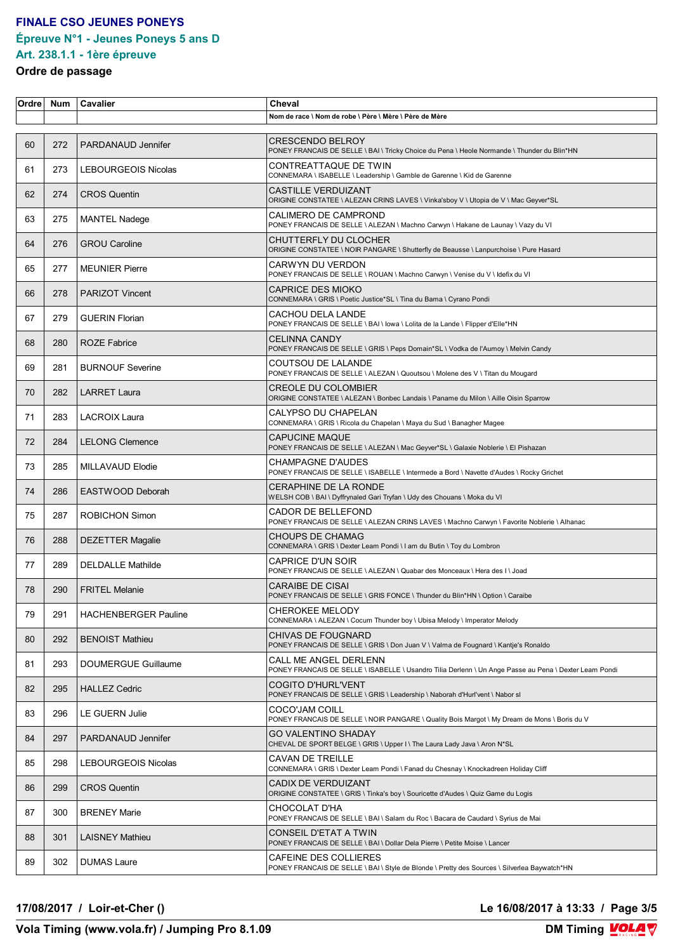### **FINALE CSO JEUNES PONEYS Épreuve N°1 - Jeunes Poneys 5 ans D Art. 238.1.1 - 1ère épreuve**

# **Ordre de passage**

| Ordre | <b>Num</b> | Cavalier                    | Cheval                                                                                                                          |
|-------|------------|-----------------------------|---------------------------------------------------------------------------------------------------------------------------------|
|       |            |                             | Nom de race \ Nom de robe \ Père \ Mère \ Père de Mère                                                                          |
| 60    | 272        | PARDANAUD Jennifer          | CRESCENDO BELROY<br>PONEY FRANCAIS DE SELLE \ BAI \ Tricky Choice du Pena \ Heole Normande \ Thunder du Blin*HN                 |
| 61    | 273        | <b>LEBOURGEOIS Nicolas</b>  | CONTREATTAQUE DE TWIN<br>CONNEMARA \ ISABELLE \ Leadership \ Gamble de Garenne \ Kid de Garenne                                 |
| 62    | 274        | <b>CROS Quentin</b>         | <b>CASTILLE VERDUIZANT</b><br>ORIGINE CONSTATEE \ ALEZAN CRINS LAVES \ Vinka'sboy V \ Utopia de V \ Mac Geyver*SL               |
| 63    | 275        | <b>MANTEL Nadege</b>        | CALIMERO DE CAMPROND<br>PONEY FRANCAIS DE SELLE \ ALEZAN \ Machno Carwyn \ Hakane de Launay \ Vazy du VI                        |
| 64    | 276        | <b>GROU Caroline</b>        | CHUTTERFLY DU CLOCHER<br>ORIGINE CONSTATEE \ NOIR PANGARE \ Shutterfly de Beausse \ Lanpurchoise \ Pure Hasard                  |
| 65    | 277        | <b>MEUNIER Pierre</b>       | CARWYN DU VERDON<br>PONEY FRANCAIS DE SELLE \ ROUAN \ Machno Carwyn \ Venise du V \ Idefix du VI                                |
| 66    | 278        | <b>PARIZOT Vincent</b>      | <b>CAPRICE DES MIOKO</b><br>CONNEMARA \ GRIS \ Poetic Justice*SL \ Tina du Bama \ Cyrano Pondi                                  |
| 67    | 279        | <b>GUERIN Florian</b>       | CACHOU DELA LANDE<br>PONEY FRANCAIS DE SELLE \ BAI \ lowa \ Lolita de la Lande \ Flipper d'Elle*HN                              |
| 68    | 280        | <b>ROZE Fabrice</b>         | CELINNA CANDY<br>PONEY FRANCAIS DE SELLE \ GRIS \ Peps Domain*SL \ Vodka de l'Aumoy \ Melvin Candy                              |
| 69    | 281        | <b>BURNOUF Severine</b>     | COUTSOU DE LALANDE<br>PONEY FRANCAIS DE SELLE \ ALEZAN \ Quoutsou \ Molene des V \ Titan du Mougard                             |
| 70    | 282        | <b>LARRET Laura</b>         | CREOLE DU COLOMBIER<br>ORIGINE CONSTATEE \ ALEZAN \ Bonbec Landais \ Paname du Milon \ Aille Oisin Sparrow                      |
| 71    | 283        | LACROIX Laura               | CALYPSO DU CHAPELAN<br>CONNEMARA \ GRIS \ Ricola du Chapelan \ Maya du Sud \ Banagher Magee                                     |
| 72    | 284        | <b>LELONG Clemence</b>      | <b>CAPUCINE MAQUE</b><br>PONEY FRANCAIS DE SELLE \ ALEZAN \ Mac Geyver*SL \ Galaxie Noblerie \ El Pishazan                      |
| 73    | 285        | MILLAVAUD Elodie            | CHAMPAGNE D'AUDES<br>PONEY FRANCAIS DE SELLE \ ISABELLE \ Intermede a Bord \ Navette d'Audes \ Rocky Grichet                    |
| 74    | 286        | EASTWOOD Deborah            | CERAPHINE DE LA RONDE<br>WELSH COB \ BAI \ Dyffrynaled Gari Tryfan \ Udy des Chouans \ Moka du VI                               |
| 75    | 287        | <b>ROBICHON Simon</b>       | CADOR DE BELLEFOND<br>PONEY FRANCAIS DE SELLE \ ALEZAN CRINS LAVES \ Machno Carwyn \ Favorite Noblerie \ Alhanac                |
| 76    | 288        | <b>DEZETTER Magalie</b>     | CHOUPS DE CHAMAG<br>CONNEMARA \ GRIS \ Dexter Leam Pondi \ I am du Butin \ Toy du Lombron                                       |
| 77    | 289        | <b>DELDALLE Mathilde</b>    | CAPRICE D'UN SOIR<br>PONEY FRANCAIS DE SELLE \ ALEZAN \ Quabar des Monceaux \ Hera des I \ Joad                                 |
| 78    | 290        | <b>FRITEL Melanie</b>       | <b>CARAIBE DE CISAI</b><br>PONEY FRANCAIS DE SELLE \ GRIS FONCE \ Thunder du Blin*HN \ Option \ Caraibe                         |
| 79    | 291        | <b>HACHENBERGER Pauline</b> | <b>CHEROKEE MELODY</b><br>CONNEMARA \ ALEZAN \ Cocum Thunder boy \ Ubisa Melody \ Imperator Melody                              |
| 80    | 292        | <b>BENOIST Mathieu</b>      | CHIVAS DE FOUGNARD<br>PONEY FRANCAIS DE SELLE \ GRIS \ Don Juan V \ Valma de Fougnard \ Kantje's Ronaldo                        |
| 81    | 293        | DOUMERGUE Guillaume         | CALL ME ANGEL DERLENN<br>PONEY FRANCAIS DE SELLE \ ISABELLE \ Usandro Tilia Derlenn \ Un Ange Passe au Pena \ Dexter Leam Pondi |
| 82    | 295        | <b>HALLEZ Cedric</b>        | COGITO D'HURL'VENT<br>PONEY FRANCAIS DE SELLE \ GRIS \ Leadership \ Naborah d'Hurl'vent \ Nabor sl                              |
| 83    | 296        | LE GUERN Julie              | COCO'JAM COILL<br>PONEY FRANCAIS DE SELLE \ NOIR PANGARE \ Quality Bois Margot \ My Dream de Mons \ Boris du V                  |
| 84    | 297        | PARDANAUD Jennifer          | GO VALENTINO SHADAY<br>CHEVAL DE SPORT BELGE \ GRIS \ Upper I \ The Laura Lady Java \ Aron N*SL                                 |
| 85    | 298        | LEBOURGEOIS Nicolas         | <b>CAVAN DE TREILLE</b><br>CONNEMARA \ GRIS \ Dexter Leam Pondi \ Fanad du Chesnay \ Knockadreen Holiday Cliff                  |
| 86    | 299        | <b>CROS Quentin</b>         | CADIX DE VERDUIZANT<br>ORIGINE CONSTATEE \ GRIS \ Tinka's boy \ Souricette d'Audes \ Quiz Game du Logis                         |
| 87    | 300        | <b>BRENEY Marie</b>         | CHOCOLAT D'HA<br>PONEY FRANCAIS DE SELLE \ BAI \ Salam du Roc \ Bacara de Caudard \ Syrius de Mai                               |
| 88    | 301        | <b>LAISNEY Mathieu</b>      | CONSEIL D'ETAT A TWIN<br>PONEY FRANCAIS DE SELLE \ BAI \ Dollar Dela Pierre \ Petite Moise \ Lancer                             |
| 89    | 302        | <b>DUMAS Laure</b>          | CAFEINE DES COLLIERES<br>PONEY FRANCAIS DE SELLE \ BAI \ Style de Blonde \ Pretty des Sources \ Silverlea Baywatch*HN           |

**17/08/2017 / Loir-et-Cher () Le 16/08/2017 à 13:33 / Page 3/5**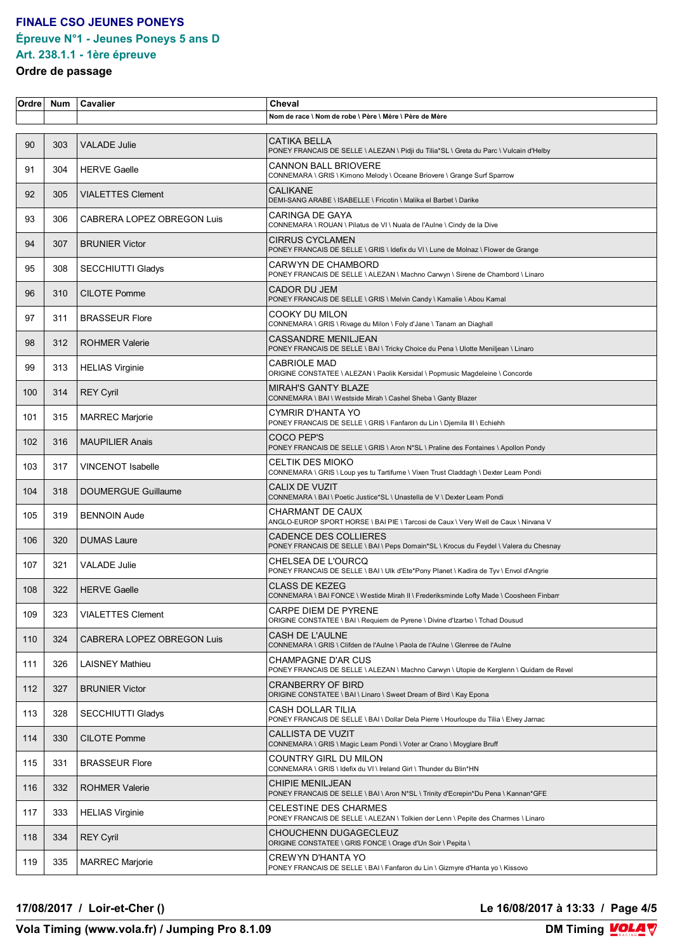## **FINALE CSO JEUNES PONEYS Épreuve N°1 - Jeunes Poneys 5 ans D**

#### **Art. 238.1.1 - 1ère épreuve Ordre de passage**

| Ordre | <b>Num</b> | <b>Cavalier</b>            | Cheval                                                                                                               |
|-------|------------|----------------------------|----------------------------------------------------------------------------------------------------------------------|
|       |            |                            | Nom de race \ Nom de robe \ Père \ Mère \ Père de Mère                                                               |
| 90    | 303        | <b>VALADE Julie</b>        | <b>CATIKA BELLA</b><br>PONEY FRANCAIS DE SELLE \ ALEZAN \ Pidji du Tilia*SL \ Greta du Parc \ Vulcain d'Helby        |
| 91    | 304        | <b>HERVE Gaelle</b>        | <b>CANNON BALL BRIOVERE</b><br>CONNEMARA \ GRIS \ Kimono Melody \ Oceane Briovere \ Grange Surf Sparrow              |
| 92    | 305        | <b>VIALETTES Clement</b>   | <b>CALIKANE</b><br>DEMI-SANG ARABE \ ISABELLE \ Fricotin \ Malika el Barbet \ Darike                                 |
| 93    | 306        | CABRERA LOPEZ OBREGON Luis | CARINGA DE GAYA<br>CONNEMARA \ ROUAN \ Pilatus de VI \ Nuala de l'Aulne \ Cindy de la Dive                           |
| 94    | 307        | <b>BRUNIER Victor</b>      | <b>CIRRUS CYCLAMEN</b><br>PONEY FRANCAIS DE SELLE \ GRIS \ Idefix du VI \ Lune de Molnaz \ Flower de Grange          |
| 95    | 308        | SECCHIUTTI Gladys          | CARWYN DE CHAMBORD<br>PONEY FRANCAIS DE SELLE \ ALEZAN \ Machno Carwyn \ Sirene de Chambord \ Linaro                 |
| 96    | 310        | <b>CILOTE Pomme</b>        | <b>CADOR DU JEM</b><br>PONEY FRANCAIS DE SELLE \ GRIS \ Melvin Candy \ Kamalie \ Abou Kamal                          |
| 97    | 311        | <b>BRASSEUR Flore</b>      | COOKY DU MILON<br>CONNEMARA \ GRIS \ Rivage du Milon \ Foly d'Jane \ Tanam an Diaghall                               |
| 98    | 312        | <b>ROHMER Valerie</b>      | <b>CASSANDRE MENILJEAN</b><br>PONEY FRANCAIS DE SELLE \ BAI \ Tricky Choice du Pena \ Ulotte Meniljean \ Linaro      |
| 99    | 313        | <b>HELIAS Virginie</b>     | <b>CABRIOLE MAD</b><br>ORIGINE CONSTATEE \ ALEZAN \ Paolik Kersidal \ Popmusic Magdeleine \ Concorde                 |
| 100   | 314        | <b>REY Cyril</b>           | <b>MIRAH'S GANTY BLAZE</b><br>CONNEMARA \ BAI \ Westside Mirah \ Cashel Sheba \ Ganty Blazer                         |
| 101   | 315        | <b>MARREC Marjorie</b>     | CYMRIR D'HANTA YO<br>PONEY FRANCAIS DE SELLE \ GRIS \ Fanfaron du Lin \ Djemila III \ Echiehh                        |
| 102   | 316        | <b>MAUPILIER Anais</b>     | COCO PEP'S<br>PONEY FRANCAIS DE SELLE \ GRIS \ Aron N*SL \ Praline des Fontaines \ Apollon Pondy                     |
| 103   | 317        | VINCENOT Isabelle          | CELTIK DES MIOKO<br>CONNEMARA \ GRIS \ Loup yes tu Tartifume \ Vixen Trust Claddagh \ Dexter Leam Pondi              |
| 104   | 318        | <b>DOUMERGUE Guillaume</b> | CALIX DE VUZIT<br>CONNEMARA \ BAI \ Poetic Justice*SL \ Unastella de V \ Dexter Leam Pondi                           |
| 105   | 319        | <b>BENNOIN Aude</b>        | CHARMANT DE CAUX<br>ANGLO-EUROP SPORT HORSE \ BAI PIE \ Tarcosi de Caux \ Very Well de Caux \ Nirvana V              |
| 106   | 320        | <b>DUMAS Laure</b>         | CADENCE DES COLLIERES<br>PONEY FRANCAIS DE SELLE \ BAI \ Peps Domain*SL \ Krocus du Feydel \ Valera du Chesnay       |
| 107   | 321        | VALADE Julie               | CHELSEA DE L'OURCQ<br>PONEY FRANCAIS DE SELLE \ BAI \ Ulk d'Ete*Pony Planet \ Kadira de Tyv \ Envol d'Angrie         |
| 108   | 322        | <b>HERVE Gaelle</b>        | <b>CLASS DE KEZEG</b><br>CONNEMARA \ BAI FONCE \ Westide Mirah II \ Frederiksminde Lofty Made \ Coosheen Finbarr     |
| 109   | 323        | <b>VIALETTES Clement</b>   | CARPE DIEM DE PYRENE<br>ORIGINE CONSTATEE \ BAI \ Requiem de Pyrene \ Divine d'Izartxo \ Tchad Dousud                |
| 110   | 324        | CABRERA LOPEZ OBREGON Luis | <b>CASH DE L'AULNE</b><br>CONNEMARA \ GRIS \ Clifden de l'Aulne \ Paola de l'Aulne \ Glenree de l'Aulne              |
| 111   | 326        | <b>LAISNEY Mathieu</b>     | <b>CHAMPAGNE D'AR CUS</b><br>PONEY FRANCAIS DE SELLE \ ALEZAN \ Machno Carwyn \ Utopie de Kerglenn \ Quidam de Revel |
| 112   | 327        | <b>BRUNIER Victor</b>      | <b>CRANBERRY OF BIRD</b><br>ORIGINE CONSTATEE \ BAI \ Linaro \ Sweet Dream of Bird \ Kay Epona                       |
| 113   | 328        | <b>SECCHIUTTI Gladys</b>   | CASH DOLLAR TILIA<br>PONEY FRANCAIS DE SELLE \ BAI \ Dollar Dela Pierre \ Hourloupe du Tilia \ Elvey Jarnac          |
| 114   | 330        | <b>CILOTE Pomme</b>        | <b>CALLISTA DE VUZIT</b><br>CONNEMARA \ GRIS \ Magic Leam Pondi \ Voter ar Crano \ Moyglare Bruff                    |
| 115   | 331        | <b>BRASSEUR Flore</b>      | COUNTRY GIRL DU MILON<br>CONNEMARA \ GRIS \ Idefix du VI \ Ireland Girl \ Thunder du Blin*HN                         |
| 116   | 332        | <b>ROHMER Valerie</b>      | <b>CHIPIE MENILJEAN</b><br>PONEY FRANCAIS DE SELLE \ BAI \ Aron N*SL \ Trinity d'Ecrepin*Du Pena \ Kannan*GFE        |
| 117   | 333        | <b>HELIAS Virginie</b>     | <b>CELESTINE DES CHARMES</b><br>PONEY FRANCAIS DE SELLE \ ALEZAN \ Tolkien der Lenn \ Pepite des Charmes \ Linaro    |
| 118   | 334        | <b>REY Cyril</b>           | CHOUCHENN DUGAGECLEUZ<br>ORIGINE CONSTATEE \ GRIS FONCE \ Orage d'Un Soir \ Pepita \                                 |
| 119   | 335        | <b>MARREC Marjorie</b>     | <b>CREWYN D'HANTA YO</b><br>PONEY FRANCAIS DE SELLE \ BAI \ Fanfaron du Lin \ Gizmyre d'Hanta yo \ Kissovo           |

**17/08/2017 / Loir-et-Cher () Le 16/08/2017 à 13:33 / Page 4/5**